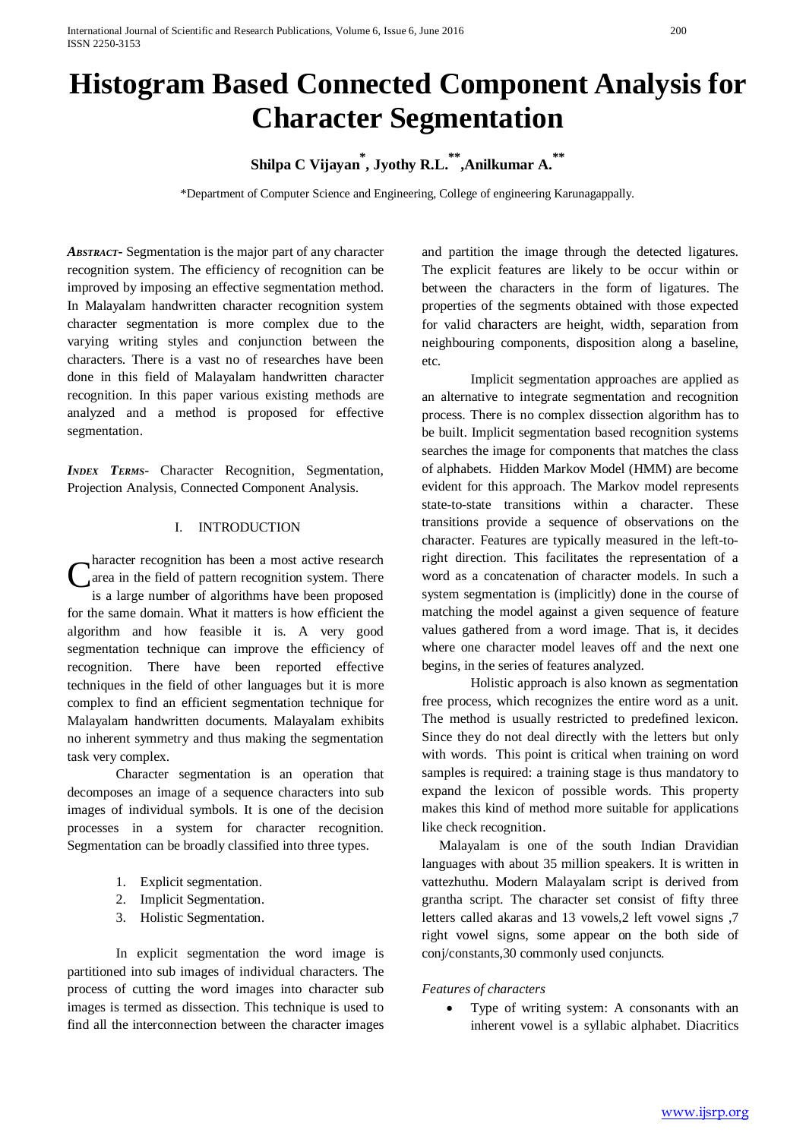# **Histogram Based Connected Component Analysis for Character Segmentation**

# **Shilpa C Vijayan\* , Jyothy R.L.\*\*,Anilkumar A.\*\***

\*Department of Computer Science and Engineering, College of engineering Karunagappally.

*ABSTRACT***-** Segmentation is the major part of any character recognition system. The efficiency of recognition can be improved by imposing an effective segmentation method. In Malayalam handwritten character recognition system character segmentation is more complex due to the varying writing styles and conjunction between the characters. There is a vast no of researches have been done in this field of Malayalam handwritten character recognition. In this paper various existing methods are analyzed and a method is proposed for effective segmentation.

*INDEX TERMS*- Character Recognition, Segmentation, Projection Analysis, Connected Component Analysis.

# I. INTRODUCTION

haracter recognition has been a most active research area in the field of pattern recognition system. There is a large number of algorithms have been proposed for the same domain. What it matters is how efficient the algorithm and how feasible it is. A very good segmentation technique can improve the efficiency of recognition. There have been reported effective techniques in the field of other languages but it is more complex to find an efficient segmentation technique for Malayalam handwritten documents. Malayalam exhibits no inherent symmetry and thus making the segmentation task very complex. C

Character segmentation is an operation that decomposes an image of a sequence characters into sub images of individual symbols. It is one of the decision processes in a system for character recognition. Segmentation can be broadly classified into three types.

- 1. Explicit segmentation.
- 2. Implicit Segmentation.
- 3. Holistic Segmentation.

In explicit segmentation the word image is partitioned into sub images of individual characters. The process of cutting the word images into character sub images is termed as dissection. This technique is used to find all the interconnection between the character images

and partition the image through the detected ligatures. The explicit features are likely to be occur within or between the characters in the form of ligatures. The properties of the segments obtained with those expected for valid characters are height, width, separation from neighbouring components, disposition along a baseline, etc.

Implicit segmentation approaches are applied as an alternative to integrate segmentation and recognition process. There is no complex dissection algorithm has to be built. Implicit segmentation based recognition systems searches the image for components that matches the class of alphabets. Hidden Markov Model (HMM) are become evident for this approach. The Markov model represents state-to-state transitions within a character. These transitions provide a sequence of observations on the character. Features are typically measured in the left-toright direction. This facilitates the representation of a word as a concatenation of character models. In such a system segmentation is (implicitly) done in the course of matching the model against a given sequence of feature values gathered from a word image. That is, it decides where one character model leaves off and the next one begins, in the series of features analyzed.

Holistic approach is also known as segmentation free process, which recognizes the entire word as a unit. The method is usually restricted to predefined lexicon. Since they do not deal directly with the letters but only with words. This point is critical when training on word samples is required: a training stage is thus mandatory to expand the lexicon of possible words. This property makes this kind of method more suitable for applications like check recognition.

Malayalam is one of the south Indian Dravidian languages with about 35 million speakers. It is written in vattezhuthu. Modern Malayalam script is derived from grantha script. The character set consist of fifty three letters called akaras and 13 vowels,2 left vowel signs ,7 right vowel signs, some appear on the both side of conj/constants,30 commonly used conjuncts.

#### *Features of characters*

• Type of writing system: A consonants with an inherent vowel is a syllabic alphabet. Diacritics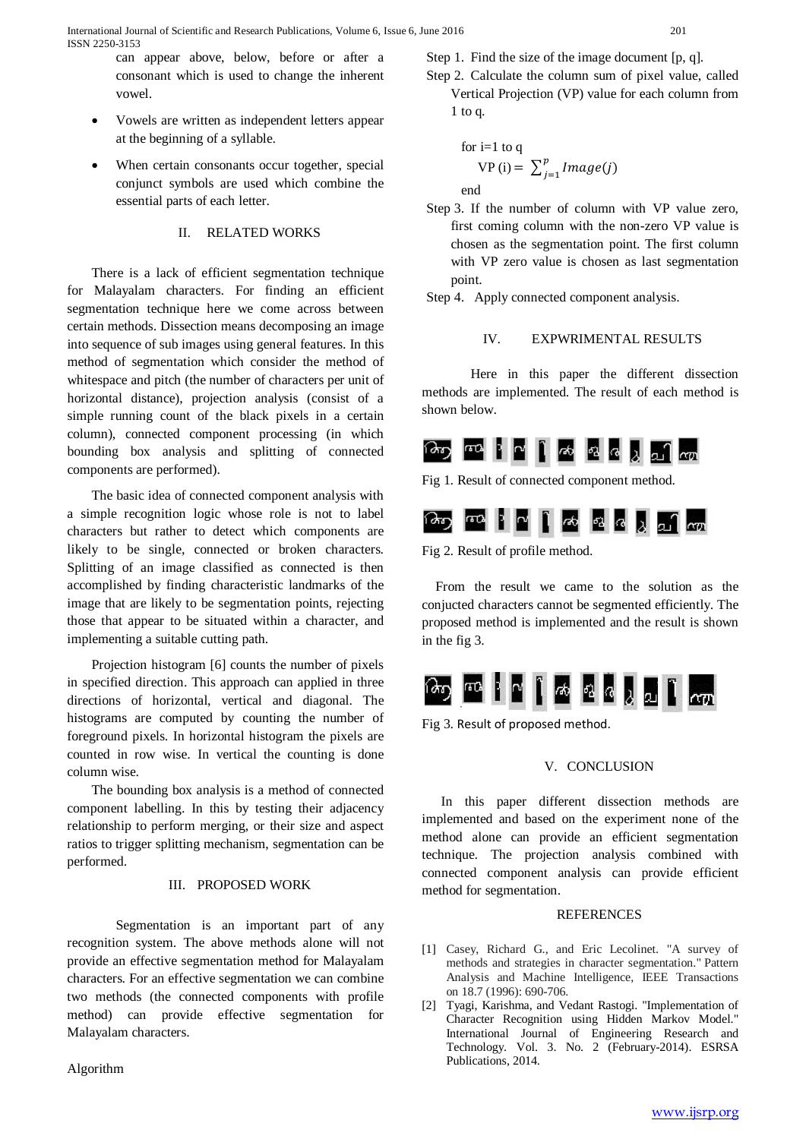can appear above, below, before or after a consonant which is used to change the inherent vowel.

- Vowels are written as independent letters appear at the beginning of a syllable.
- When certain consonants occur together, special conjunct symbols are used which combine the essential parts of each letter.

# II. RELATED WORKS

There is a lack of efficient segmentation technique for Malayalam characters. For finding an efficient segmentation technique here we come across between certain methods. Dissection means decomposing an image into sequence of sub images using general features. In this method of segmentation which consider the method of whitespace and pitch (the number of characters per unit of horizontal distance), projection analysis (consist of a simple running count of the black pixels in a certain column), connected component processing (in which bounding box analysis and splitting of connected components are performed).

The basic idea of connected component analysis with a simple recognition logic whose role is not to label characters but rather to detect which components are likely to be single, connected or broken characters. Splitting of an image classified as connected is then accomplished by finding characteristic landmarks of the image that are likely to be segmentation points, rejecting those that appear to be situated within a character, and implementing a suitable cutting path.

Projection histogram [6] counts the number of pixels in specified direction. This approach can applied in three directions of horizontal, vertical and diagonal. The histograms are computed by counting the number of foreground pixels. In horizontal histogram the pixels are counted in row wise. In vertical the counting is done column wise.

The bounding box analysis is a method of connected component labelling. In this by testing their adjacency relationship to perform merging, or their size and aspect ratios to trigger splitting mechanism, segmentation can be performed.

# III. PROPOSED WORK

Segmentation is an important part of any recognition system. The above methods alone will not provide an effective segmentation method for Malayalam characters. For an effective segmentation we can combine two methods (the connected components with profile method) can provide effective segmentation for Malayalam characters.

Algorithm

Step 1. Find the size of the image document [p, q].

Step 2. Calculate the column sum of pixel value, called Vertical Projection (VP) value for each column from 1 to q.

for i=1 to q  
VP (i) = 
$$
\sum_{j=1}^{p}
$$
 Image(j)

end

Step 3. If the number of column with VP value zero, first coming column with the non-zero VP value is chosen as the segmentation point. The first column with VP zero value is chosen as last segmentation point.

Step 4. Apply connected component analysis.

### IV. EXPWRIMENTAL RESULTS

Here in this paper the different dissection methods are implemented. The result of each method is shown below.



Fig 1. Result of connected component method.



Fig 2. Result of profile method.

From the result we came to the solution as the conjucted characters cannot be segmented efficiently. The proposed method is implemented and the result is shown in the fig 3.



Fig 3. Result of proposed method.

#### V. CONCLUSION

In this paper different dissection methods are implemented and based on the experiment none of the method alone can provide an efficient segmentation technique. The projection analysis combined with connected component analysis can provide efficient method for segmentation.

#### **REFERENCES**

- [1] Casey, Richard G., and Eric Lecolinet. "A survey of methods and strategies in character segmentation." Pattern Analysis and Machine Intelligence, IEEE Transactions on 18.7 (1996): 690-706.
- [2] Tyagi, Karishma, and Vedant Rastogi. "Implementation of Character Recognition using Hidden Markov Model." International Journal of Engineering Research and Technology. Vol. 3. No. 2 (February-2014). ESRSA Publications, 2014.